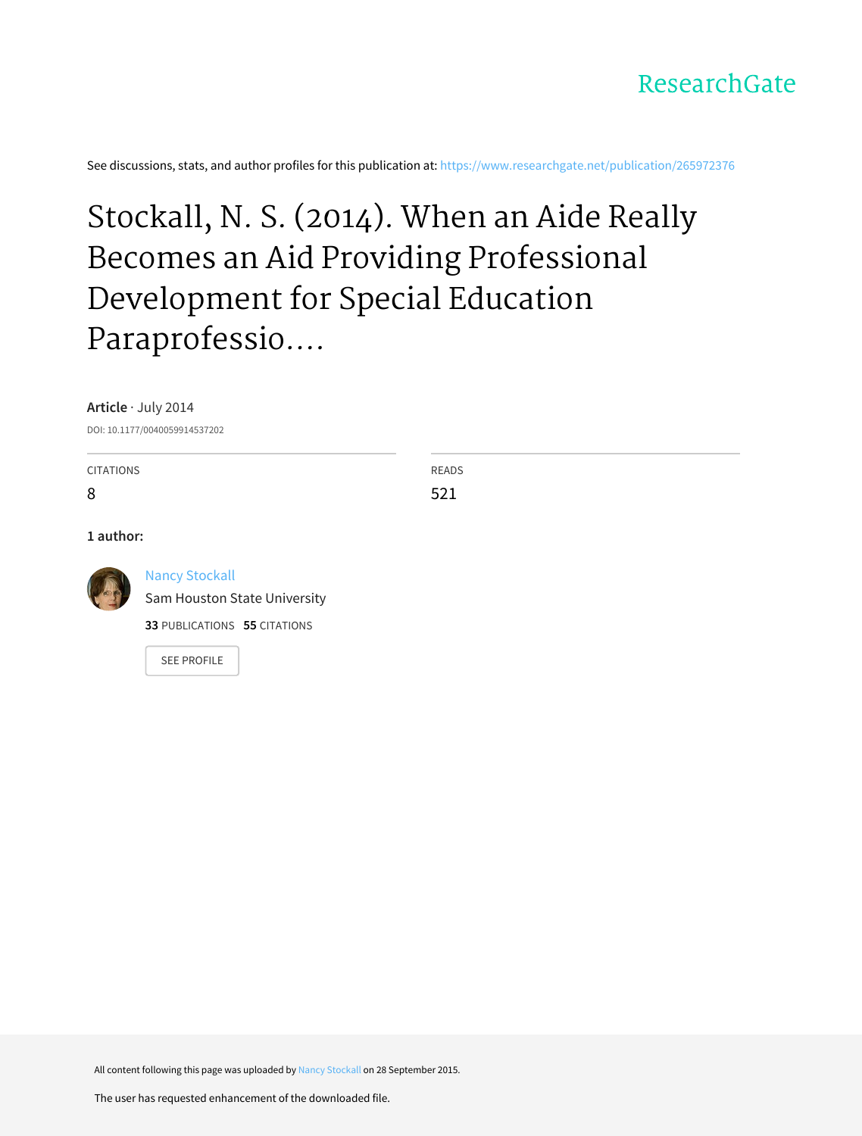

See discussions, stats, and author profiles for this publication at: [https://www.researchgate.net/publication/265972376](https://www.researchgate.net/publication/265972376_Stockall_N_S_2014_When_an_Aide_Really_Becomes_an_Aid_Providing_Professional_Development_for_Special_Education_Paraprofessionals_TEACHING_Exceptional_Children_466_197-205?enrichId=rgreq-5eb1289afcbb17782b7d31aceb5cb85b-XXX&enrichSource=Y292ZXJQYWdlOzI2NTk3MjM3NjtBUzoyNzg2Nzg1NDcyNTUyOTZAMTQ0MzQ1MzU1MTI5Mg%3D%3D&el=1_x_2&_esc=publicationCoverPdf)

# Stockall, N. S. (2014). When an Aide Really Becomes an Aid Providing Professional Development for Special Education Paraprofessio....

#### **Article** · July 2014

DOI: 10.1177/0040059914537202

| <b>CITATIONS</b> | READS |
|------------------|-------|
| 8                | 521   |
|                  |       |

**1 author:**



# Nancy [Stockall](https://www.researchgate.net/profile/Nancy_Stockall?enrichId=rgreq-5eb1289afcbb17782b7d31aceb5cb85b-XXX&enrichSource=Y292ZXJQYWdlOzI2NTk3MjM3NjtBUzoyNzg2Nzg1NDcyNTUyOTZAMTQ0MzQ1MzU1MTI5Mg%3D%3D&el=1_x_5&_esc=publicationCoverPdf)

Sam Houston State [University](https://www.researchgate.net/institution/Sam_Houston_State_University?enrichId=rgreq-5eb1289afcbb17782b7d31aceb5cb85b-XXX&enrichSource=Y292ZXJQYWdlOzI2NTk3MjM3NjtBUzoyNzg2Nzg1NDcyNTUyOTZAMTQ0MzQ1MzU1MTI5Mg%3D%3D&el=1_x_6&_esc=publicationCoverPdf)

**33** PUBLICATIONS **55** CITATIONS

SEE [PROFILE](https://www.researchgate.net/profile/Nancy_Stockall?enrichId=rgreq-5eb1289afcbb17782b7d31aceb5cb85b-XXX&enrichSource=Y292ZXJQYWdlOzI2NTk3MjM3NjtBUzoyNzg2Nzg1NDcyNTUyOTZAMTQ0MzQ1MzU1MTI5Mg%3D%3D&el=1_x_7&_esc=publicationCoverPdf)

All content following this page was uploaded by Nancy [Stockall](https://www.researchgate.net/profile/Nancy_Stockall?enrichId=rgreq-5eb1289afcbb17782b7d31aceb5cb85b-XXX&enrichSource=Y292ZXJQYWdlOzI2NTk3MjM3NjtBUzoyNzg2Nzg1NDcyNTUyOTZAMTQ0MzQ1MzU1MTI5Mg%3D%3D&el=1_x_10&_esc=publicationCoverPdf) on 28 September 2015.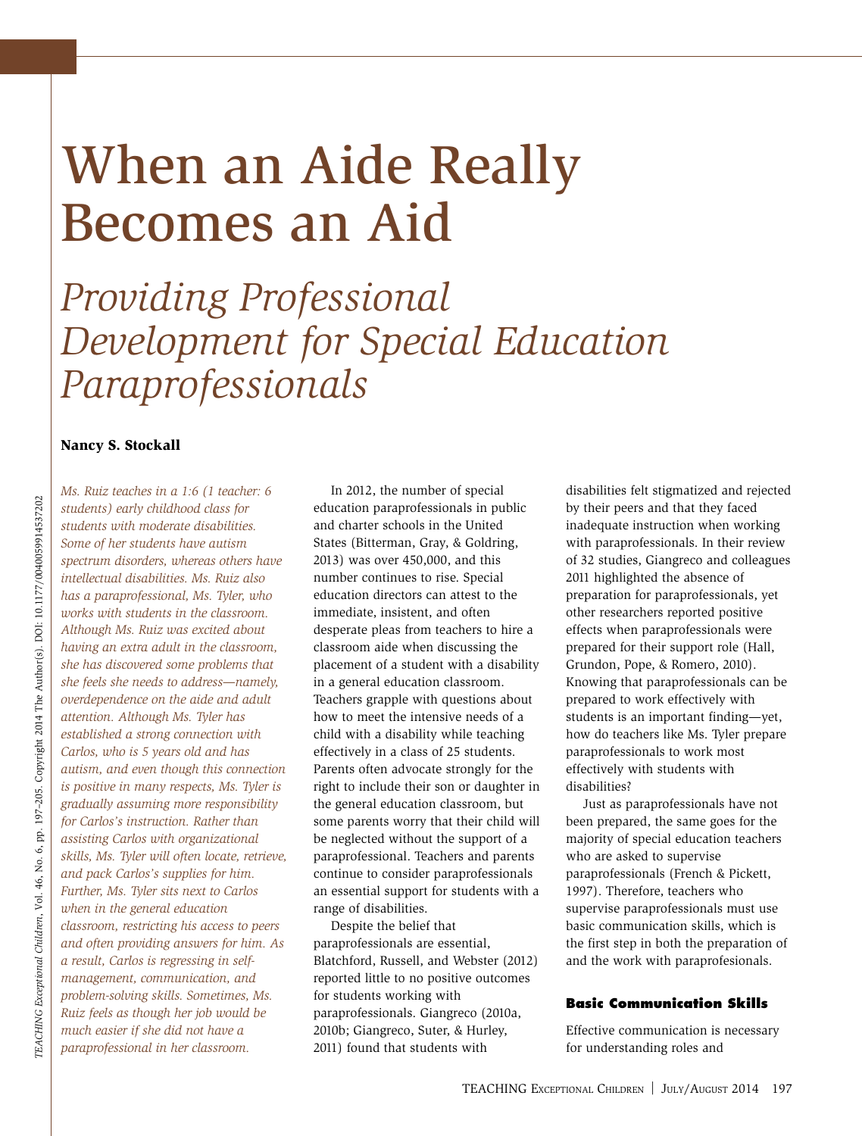# When an Aide Really Becomes an Aid

# *Providing Professional Development for Special Education Paraprofessionals*

# Nancy S. Stockall

*Ms. Ruiz teaches in a 1:6 (1 teacher: 6 students) early childhood class for students with moderate disabilities. Some of her students have autism spectrum disorders, whereas others have intellectual disabilities. Ms. Ruiz also has a paraprofessional, Ms. Tyler, who works with students in the classroom. Although Ms. Ruiz was excited about having an extra adult in the classroom, she has discovered some problems that she feels she needs to address—namely, overdependence on the aide and adult attention. Although Ms. Tyler has established a strong connection with Carlos, who is 5 years old and has autism, and even though this connection is positive in many respects, Ms. Tyler is gradually assuming more responsibility for Carlos's instruction. Rather than assisting Carlos with organizational skills, Ms. Tyler will often locate, retrieve, and pack Carlos's supplies for him. Further, Ms. Tyler sits next to Carlos when in the general education classroom, restricting his access to peers and often providing answers for him. As a result, Carlos is regressing in selfmanagement, communication, and problem-solving skills. Sometimes, Ms. Ruiz feels as though her job would be much easier if she did not have a paraprofessional in her classroom.*

In 2012, the number of special education paraprofessionals in public and charter schools in the United States (Bitterman, Gray, & Goldring, 2013) was over 450,000, and this number continues to rise. Special education directors can attest to the immediate, insistent, and often desperate pleas from teachers to hire a classroom aide when discussing the placement of a student with a disability in a general education classroom. Teachers grapple with questions about how to meet the intensive needs of a child with a disability while teaching effectively in a class of 25 students. Parents often advocate strongly for the right to include their son or daughter in the general education classroom, but some parents worry that their child will be neglected without the support of a paraprofessional. Teachers and parents continue to consider paraprofessionals an essential support for students with a range of disabilities.

Despite the belief that paraprofessionals are essential, Blatchford, Russell, and Webster (2012) reported little to no positive outcomes for students working with paraprofessionals. Giangreco (2010a, 2010b; Giangreco, Suter, & Hurley, 2011) found that students with

disabilities felt stigmatized and rejected by their peers and that they faced inadequate instruction when working with paraprofessionals. In their review of 32 studies, Giangreco and colleagues 2011 highlighted the absence of preparation for paraprofessionals, yet other researchers reported positive effects when paraprofessionals were prepared for their support role (Hall, Grundon, Pope, & Romero, 2010). Knowing that paraprofessionals can be prepared to work effectively with students is an important finding—yet, how do teachers like Ms. Tyler prepare paraprofessionals to work most effectively with students with disabilities?

Just as paraprofessionals have not been prepared, the same goes for the majority of special education teachers who are asked to supervise paraprofessionals (French & Pickett, 1997). Therefore, teachers who supervise paraprofessionals must use basic communication skills, which is the first step in both the preparation of and the work with paraprofesionals.

# **Basic Communication Skills**

Effective communication is necessary for understanding roles and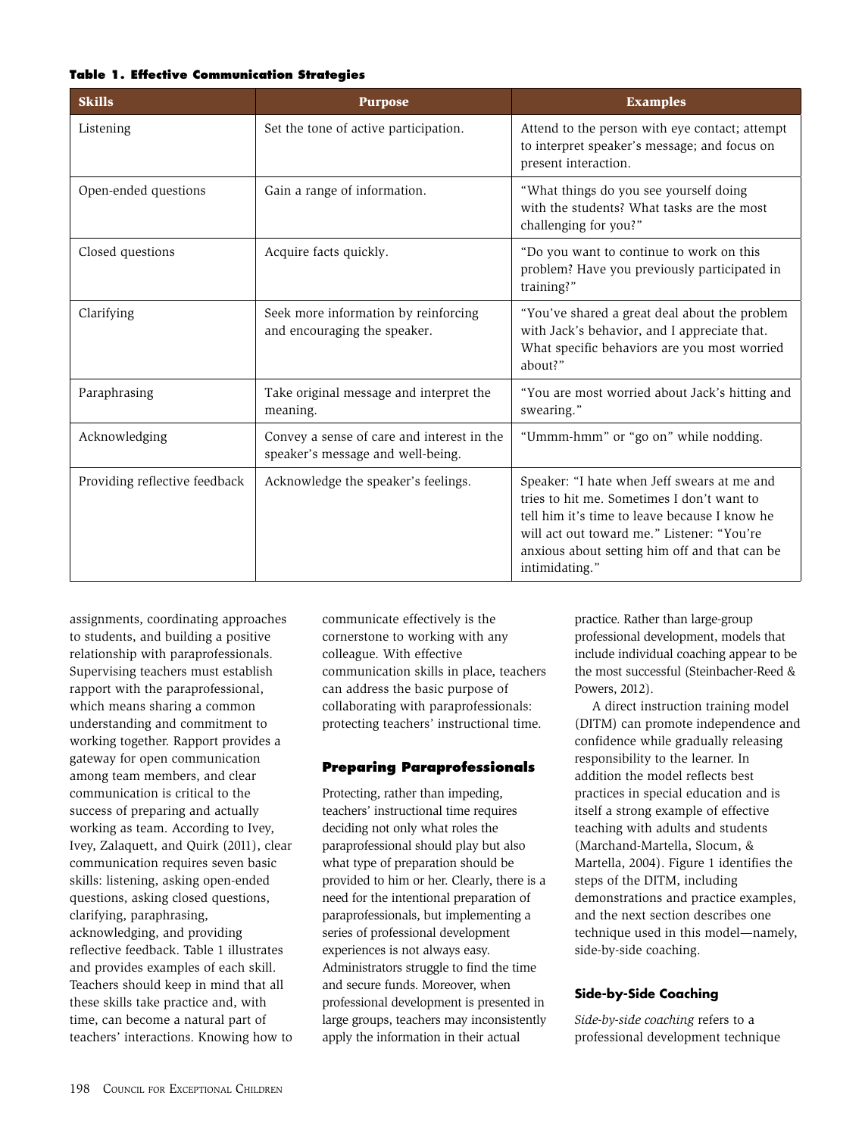## **Table 1. Effective Communication Strategies**

| <b>Skills</b>                 | <b>Purpose</b>                                                                  | <b>Examples</b>                                                                                                                                                                                                                                             |
|-------------------------------|---------------------------------------------------------------------------------|-------------------------------------------------------------------------------------------------------------------------------------------------------------------------------------------------------------------------------------------------------------|
| Listening                     | Set the tone of active participation.                                           | Attend to the person with eye contact; attempt<br>to interpret speaker's message; and focus on<br>present interaction.                                                                                                                                      |
| Open-ended questions          | Gain a range of information.                                                    | "What things do you see yourself doing<br>with the students? What tasks are the most<br>challenging for you?"                                                                                                                                               |
| Closed questions              | Acquire facts quickly.                                                          | "Do you want to continue to work on this<br>problem? Have you previously participated in<br>training?"                                                                                                                                                      |
| Clarifying                    | Seek more information by reinforcing<br>and encouraging the speaker.            | "You've shared a great deal about the problem<br>with Jack's behavior, and I appreciate that.<br>What specific behaviors are you most worried<br>about?"                                                                                                    |
| Paraphrasing                  | Take original message and interpret the<br>meaning.                             | "You are most worried about Jack's hitting and<br>swearing."                                                                                                                                                                                                |
| Acknowledging                 | Convey a sense of care and interest in the<br>speaker's message and well-being. | "Ummm-hmm" or "go on" while nodding.                                                                                                                                                                                                                        |
| Providing reflective feedback | Acknowledge the speaker's feelings.                                             | Speaker: "I hate when Jeff swears at me and<br>tries to hit me. Sometimes I don't want to<br>tell him it's time to leave because I know he<br>will act out toward me." Listener: "You're<br>anxious about setting him off and that can be<br>intimidating." |

assignments, coordinating approaches to students, and building a positive relationship with paraprofessionals. Supervising teachers must establish rapport with the paraprofessional, which means sharing a common understanding and commitment to working together. Rapport provides a gateway for open communication among team members, and clear communication is critical to the success of preparing and actually working as team. According to Ivey, Ivey, Zalaquett, and Quirk (2011), clear communication requires seven basic skills: listening, asking open-ended questions, asking closed questions, clarifying, paraphrasing, acknowledging, and providing reflective feedback. Table 1 illustrates and provides examples of each skill. Teachers should keep in mind that all these skills take practice and, with time, can become a natural part of teachers' interactions. Knowing how to communicate effectively is the cornerstone to working with any colleague. With effective communication skills in place, teachers can address the basic purpose of collaborating with paraprofessionals: protecting teachers' instructional time.

# **Preparing Paraprofessionals**

Protecting, rather than impeding, teachers' instructional time requires deciding not only what roles the paraprofessional should play but also what type of preparation should be provided to him or her. Clearly, there is a need for the intentional preparation of paraprofessionals, but implementing a series of professional development experiences is not always easy. Administrators struggle to find the time and secure funds. Moreover, when professional development is presented in large groups, teachers may inconsistently apply the information in their actual

practice. Rather than large-group professional development, models that include individual coaching appear to be the most successful (Steinbacher-Reed & Powers, 2012).

A direct instruction training model (DITM) can promote independence and confidence while gradually releasing responsibility to the learner. In addition the model reflects best practices in special education and is itself a strong example of effective teaching with adults and students (Marchand-Martella, Slocum, & Martella, 2004). Figure 1 identifies the steps of the DITM, including demonstrations and practice examples, and the next section describes one technique used in this model—namely, side-by-side coaching.

# **Side-by-Side Coaching**

*Side-by-side coaching* refers to a professional development technique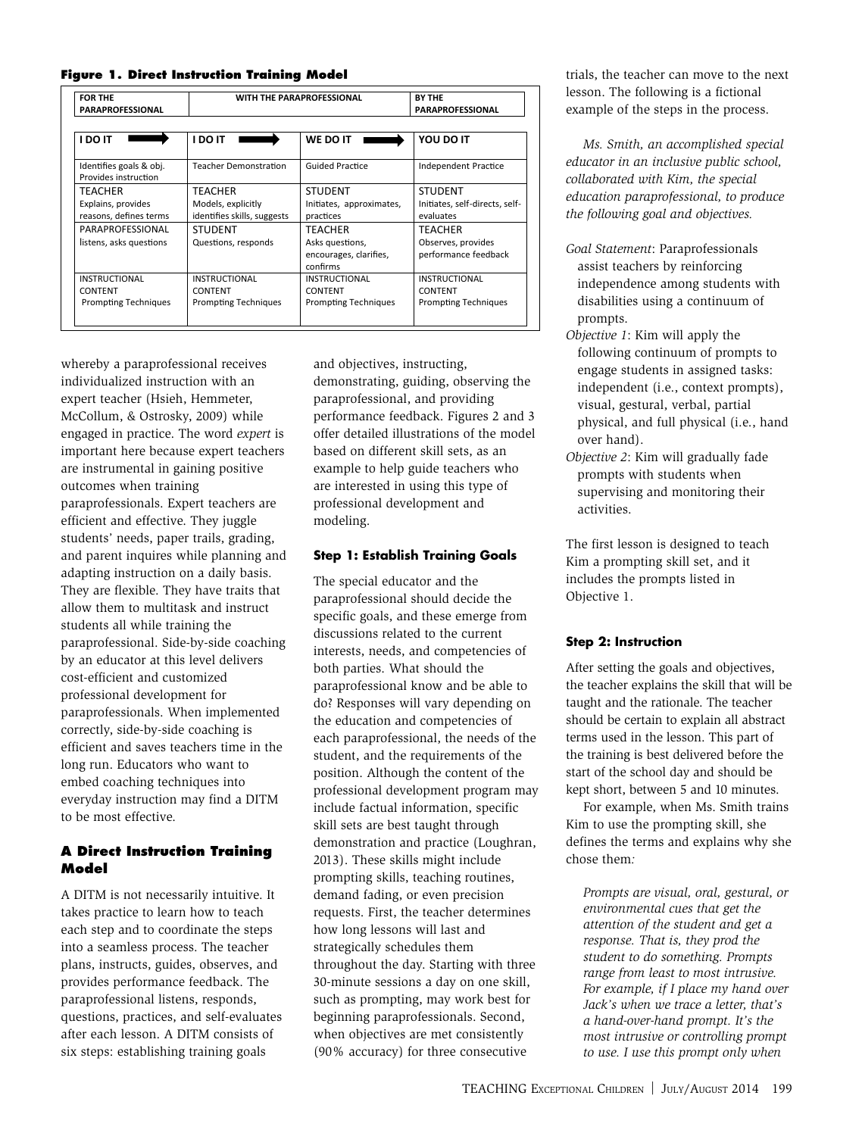#### **Figure 1. Direct Instruction Training Model**

| <b>FOR THE</b><br><b>PARAPROFESSIONAL</b>       | <b>WITH THE PARAPROFESSIONAL</b>                  |                                                       | <b>BY THE</b><br><b>PARAPROFESSIONAL</b>    |  |
|-------------------------------------------------|---------------------------------------------------|-------------------------------------------------------|---------------------------------------------|--|
| <b>I DO IT</b>                                  | <b>I DO IT</b>                                    | <b>WE DO IT</b>                                       | <b>YOU DO IT</b>                            |  |
| Identifies goals & obj.<br>Provides instruction | <b>Teacher Demonstration</b>                      | <b>Guided Practice</b>                                | Independent Practice                        |  |
| <b>TEACHER</b>                                  | <b>TEACHER</b>                                    | <b>STUDENT</b>                                        | <b>STUDENT</b>                              |  |
| Explains, provides<br>reasons, defines terms    | Models, explicitly<br>identifies skills, suggests | Initiates, approximates,<br>practices                 | Initiates, self-directs, self-<br>evaluates |  |
| PARAPROFESSIONAL                                | <b>STUDENT</b>                                    | <b>TEACHER</b>                                        | <b>TEACHER</b>                              |  |
| listens, asks questions                         | Questions, responds                               | Asks questions,<br>encourages, clarifies,<br>confirms | Observes, provides<br>performance feedback  |  |
| <b>INSTRUCTIONAL</b>                            | <b>INSTRUCTIONAL</b>                              | <b>INSTRUCTIONAL</b>                                  | <b>INSTRUCTIONAL</b>                        |  |
| <b>CONTENT</b>                                  | CONTENT                                           | <b>CONTENT</b>                                        | CONTENT                                     |  |
| <b>Prompting Techniques</b>                     | <b>Prompting Techniques</b>                       | <b>Prompting Techniques</b>                           | <b>Prompting Techniques</b>                 |  |

whereby a paraprofessional receives individualized instruction with an expert teacher (Hsieh, Hemmeter, McCollum, & Ostrosky, 2009) while engaged in practice. The word *expert* is important here because expert teachers are instrumental in gaining positive outcomes when training paraprofessionals. Expert teachers are efficient and effective. They juggle students' needs, paper trails, grading, and parent inquires while planning and adapting instruction on a daily basis. They are flexible. They have traits that allow them to multitask and instruct students all while training the paraprofessional. Side-by-side coaching by an educator at this level delivers cost-efficient and customized professional development for paraprofessionals. When implemented correctly, side-by-side coaching is efficient and saves teachers time in the long run. Educators who want to embed coaching techniques into everyday instruction may find a DITM to be most effective.

# **A Direct Instruction Training Model**

A DITM is not necessarily intuitive. It takes practice to learn how to teach each step and to coordinate the steps into a seamless process. The teacher plans, instructs, guides, observes, and provides performance feedback. The paraprofessional listens, responds, questions, practices, and self-evaluates after each lesson. A DITM consists of six steps: establishing training goals

and objectives, instructing, demonstrating, guiding, observing the paraprofessional, and providing performance feedback. Figures 2 and 3 offer detailed illustrations of the model based on different skill sets, as an example to help guide teachers who are interested in using this type of professional development and modeling.

# **Step 1: Establish Training Goals**

The special educator and the paraprofessional should decide the specific goals, and these emerge from discussions related to the current interests, needs, and competencies of both parties. What should the paraprofessional know and be able to do? Responses will vary depending on the education and competencies of each paraprofessional, the needs of the student, and the requirements of the position. Although the content of the professional development program may include factual information, specific skill sets are best taught through demonstration and practice (Loughran, 2013). These skills might include prompting skills, teaching routines, demand fading, or even precision requests. First, the teacher determines how long lessons will last and strategically schedules them throughout the day. Starting with three 30-minute sessions a day on one skill, such as prompting, may work best for beginning paraprofessionals. Second, when objectives are met consistently (90% accuracy) for three consecutive

trials, the teacher can move to the next lesson. The following is a fictional example of the steps in the process.

*Ms. Smith, an accomplished special educator in an inclusive public school, collaborated with Kim, the special education paraprofessional, to produce the following goal and objectives.*

- *Goal Statement*: Paraprofessionals assist teachers by reinforcing independence among students with disabilities using a continuum of prompts.
- *Objective 1*: Kim will apply the following continuum of prompts to engage students in assigned tasks: independent (i.e., context prompts), visual, gestural, verbal, partial physical, and full physical (i.e., hand over hand).
- *Objective 2*: Kim will gradually fade prompts with students when supervising and monitoring their activities.

The first lesson is designed to teach Kim a prompting skill set, and it includes the prompts listed in Objective 1.

# **Step 2: Instruction**

After setting the goals and objectives, the teacher explains the skill that will be taught and the rationale. The teacher should be certain to explain all abstract terms used in the lesson. This part of the training is best delivered before the start of the school day and should be kept short, between 5 and 10 minutes.

For example, when Ms. Smith trains Kim to use the prompting skill, she defines the terms and explains why she chose them*:*

*Prompts are visual, oral, gestural, or environmental cues that get the attention of the student and get a response. That is, they prod the student to do something. Prompts range from least to most intrusive. For example, if I place my hand over Jack's when we trace a letter, that's a hand-over-hand prompt. It's the most intrusive or controlling prompt to use. I use this prompt only when*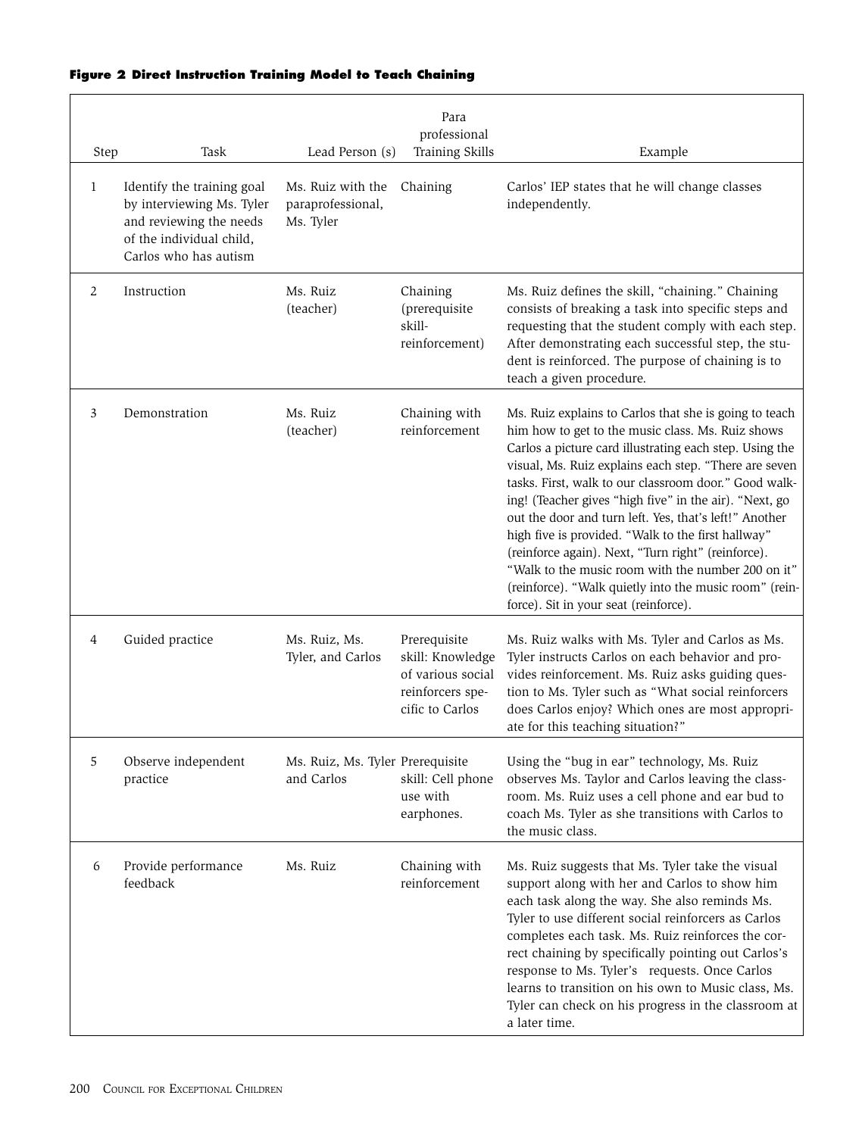|              |                                                                                                                                         |                                                     | Para<br>professional                                                                         |                                                                                                                                                                                                                                                                                                                                                                                                                                                                                                                                                                                                                                                                                   |
|--------------|-----------------------------------------------------------------------------------------------------------------------------------------|-----------------------------------------------------|----------------------------------------------------------------------------------------------|-----------------------------------------------------------------------------------------------------------------------------------------------------------------------------------------------------------------------------------------------------------------------------------------------------------------------------------------------------------------------------------------------------------------------------------------------------------------------------------------------------------------------------------------------------------------------------------------------------------------------------------------------------------------------------------|
| Step         | Task                                                                                                                                    | Lead Person (s)                                     | <b>Training Skills</b>                                                                       | Example                                                                                                                                                                                                                                                                                                                                                                                                                                                                                                                                                                                                                                                                           |
| $\mathbf{1}$ | Identify the training goal<br>by interviewing Ms. Tyler<br>and reviewing the needs<br>of the individual child,<br>Carlos who has autism | Ms. Ruiz with the<br>paraprofessional,<br>Ms. Tyler | Chaining                                                                                     | Carlos' IEP states that he will change classes<br>independently.                                                                                                                                                                                                                                                                                                                                                                                                                                                                                                                                                                                                                  |
| 2            | Instruction                                                                                                                             | Ms. Ruiz<br>(teacher)                               | Chaining<br>(prerequisite<br>skill-<br>reinforcement)                                        | Ms. Ruiz defines the skill, "chaining." Chaining<br>consists of breaking a task into specific steps and<br>requesting that the student comply with each step.<br>After demonstrating each successful step, the stu-<br>dent is reinforced. The purpose of chaining is to<br>teach a given procedure.                                                                                                                                                                                                                                                                                                                                                                              |
| 3            | Demonstration                                                                                                                           | Ms. Ruiz<br>(teacher)                               | Chaining with<br>reinforcement                                                               | Ms. Ruiz explains to Carlos that she is going to teach<br>him how to get to the music class. Ms. Ruiz shows<br>Carlos a picture card illustrating each step. Using the<br>visual, Ms. Ruiz explains each step. "There are seven<br>tasks. First, walk to our classroom door." Good walk-<br>ing! (Teacher gives "high five" in the air). "Next, go<br>out the door and turn left. Yes, that's left!" Another<br>high five is provided. "Walk to the first hallway"<br>(reinforce again). Next, "Turn right" (reinforce).<br>"Walk to the music room with the number 200 on it"<br>(reinforce). "Walk quietly into the music room" (rein-<br>force). Sit in your seat (reinforce). |
| 4            | Guided practice                                                                                                                         | Ms. Ruiz, Ms.<br>Tyler, and Carlos                  | Prerequisite<br>skill: Knowledge<br>of various social<br>reinforcers spe-<br>cific to Carlos | Ms. Ruiz walks with Ms. Tyler and Carlos as Ms.<br>Tyler instructs Carlos on each behavior and pro-<br>vides reinforcement. Ms. Ruiz asks guiding ques-<br>tion to Ms. Tyler such as "What social reinforcers<br>does Carlos enjoy? Which ones are most appropri-<br>ate for this teaching situation?"                                                                                                                                                                                                                                                                                                                                                                            |
| 5            | Observe independent<br>practice                                                                                                         | Ms. Ruiz, Ms. Tyler Prerequisite<br>and Carlos      | skill: Cell phone<br>use with<br>earphones.                                                  | Using the "bug in ear" technology, Ms. Ruiz<br>observes Ms. Taylor and Carlos leaving the class-<br>room. Ms. Ruiz uses a cell phone and ear bud to<br>coach Ms. Tyler as she transitions with Carlos to<br>the music class.                                                                                                                                                                                                                                                                                                                                                                                                                                                      |
| 6            | Provide performance<br>feedback                                                                                                         | Ms. Ruiz                                            | Chaining with<br>reinforcement                                                               | Ms. Ruiz suggests that Ms. Tyler take the visual<br>support along with her and Carlos to show him<br>each task along the way. She also reminds Ms.<br>Tyler to use different social reinforcers as Carlos<br>completes each task. Ms. Ruiz reinforces the cor-<br>rect chaining by specifically pointing out Carlos's<br>response to Ms. Tyler's requests. Once Carlos<br>learns to transition on his own to Music class, Ms.<br>Tyler can check on his progress in the classroom at<br>a later time.                                                                                                                                                                             |

# **Figure 2 Direct Instruction Training Model to Teach Chaining**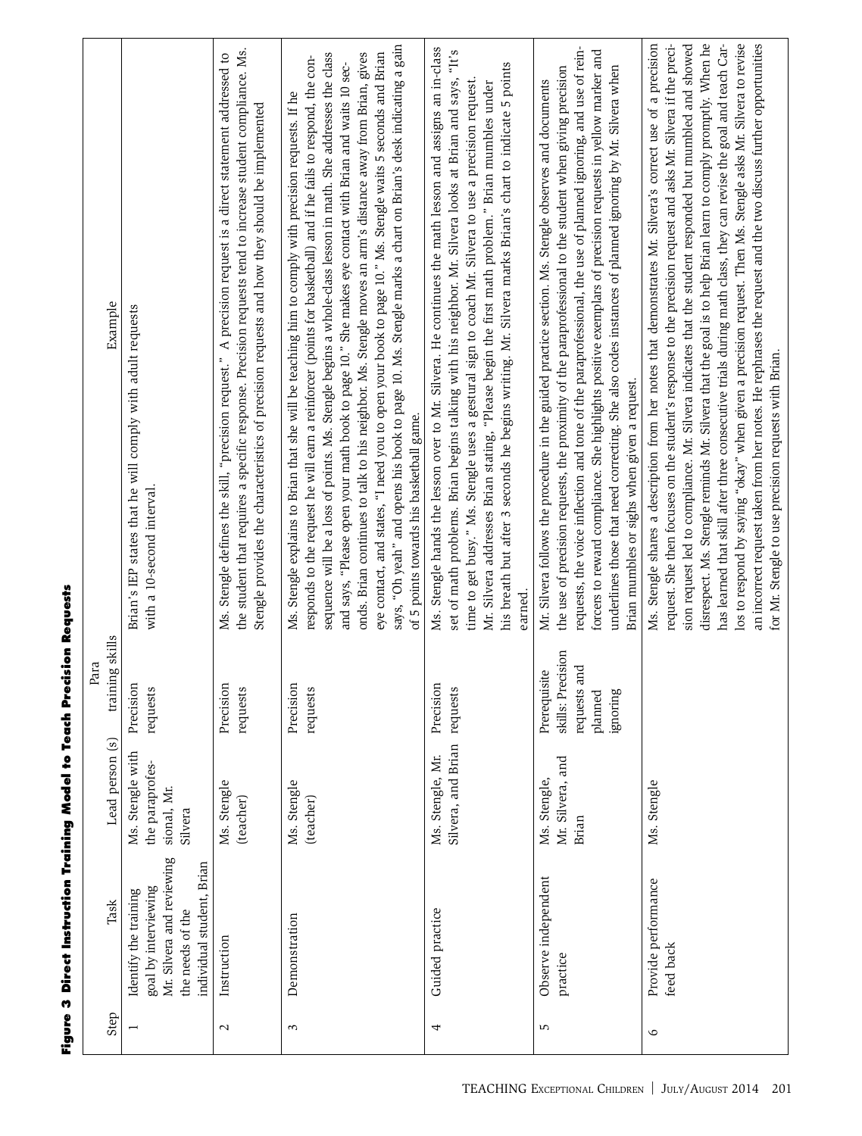| Example                 | Brian's IEP states that he will comply with adult requests<br>with a 10-second interval                                     | the student that requires a specific response. Precision requests tend to increase student compliance. Ms.<br>A precision request is a direct statement addressed to<br>Stengle provides the characteristics of precision requests and how they should be implemented<br>Ms. Stengle defines the skill, "precision request." | says, "Oh yeah" and opens his book to page 10. Ms. Stengle marks a chart on Brian's desk indicating a gain<br>eye contact, and states, "I need you to open your book to page 10." Ms. Stengle waits 5 seconds and Brian<br>sequence will be a loss of points. Ms. Stengle begins a whole-class lesson in math. She addresses the class<br>onds. Brian continues to talk to his neighbor. Ms. Stengle moves an arm's distance away from Brian, gives<br>responds to the request he will earn a reinforcer (points for basketball) and if he fails to respond, the con-<br>and says, "Please open your math book to page 10." She makes eye contact with Brian and waits 10 sec-<br>Ms. Stengle explains to Brian that she will be teaching him to comply with precision requests. If he<br>of 5 points towards his basketball game. | Ms. Stengle hands the lesson over to Mr. Silvera. He continues the math lesson and assigns an in-class<br>set of math problems. Brian begins talking with his neighbor. Mr. Silvera looks at Brian and says, "It's<br>his breath but after 3 seconds he begins writing. Mr. Silvera marks Brian's chart to indicate 5 points<br>time to get busy." Ms. Stengle uses a gestural sign to coach Mr. Silvera to use a precision request.<br>Mr. Silvera addresses Brian stating, "Please begin the first math problem." Brian mumbles under<br>earned | requests, the voice inflection and tone of the paraprofessional, the use of planned ignoring, and use of rein-<br>forcers to reward compliance. She highlights positive exemplars of precision requests in yellow marker and<br>underlines those that need correcting. She also codes instances of planned ignoring by Mr. Silvera when<br>the use of precision requests, the proximity of the paraprofessional to the student when giving precision<br>Mr. Silvera follows the procedure in the guided practice section. Ms. Stengle observes and documents<br>Brian mumbles or sighs when given a request. | disrespect. Ms. Stengle reminds Mr. Silvera that the goal is to help Brian learn to comply promptly. When he<br>has learned that skill after three consecutive trials during math class, they can revise the goal and teach Car-<br>los to respond by saying "okay" when given a precision request. Then Ms. Stengle asks Mr. Silvera to revise<br>request. She then focuses on the student's response to the precision request and asks Mr. Silvera if the preci-<br>an incorrect request taken from her notes. He rephrases the request and the two discuss further opportunities<br>Ms. Stengle shares a description from her notes that demonstrates Mr. Silvera's correct use of a precision<br>sion request led to compliance. Mr. Silvera indicates that the student responded but mumbled and showed<br>for Mr. Stengle to use precision requests with Brian. |
|-------------------------|-----------------------------------------------------------------------------------------------------------------------------|------------------------------------------------------------------------------------------------------------------------------------------------------------------------------------------------------------------------------------------------------------------------------------------------------------------------------|------------------------------------------------------------------------------------------------------------------------------------------------------------------------------------------------------------------------------------------------------------------------------------------------------------------------------------------------------------------------------------------------------------------------------------------------------------------------------------------------------------------------------------------------------------------------------------------------------------------------------------------------------------------------------------------------------------------------------------------------------------------------------------------------------------------------------------|---------------------------------------------------------------------------------------------------------------------------------------------------------------------------------------------------------------------------------------------------------------------------------------------------------------------------------------------------------------------------------------------------------------------------------------------------------------------------------------------------------------------------------------------------|--------------------------------------------------------------------------------------------------------------------------------------------------------------------------------------------------------------------------------------------------------------------------------------------------------------------------------------------------------------------------------------------------------------------------------------------------------------------------------------------------------------------------------------------------------------------------------------------------------------|-----------------------------------------------------------------------------------------------------------------------------------------------------------------------------------------------------------------------------------------------------------------------------------------------------------------------------------------------------------------------------------------------------------------------------------------------------------------------------------------------------------------------------------------------------------------------------------------------------------------------------------------------------------------------------------------------------------------------------------------------------------------------------------------------------------------------------------------------------------------------|
| training skills<br>Para | Precision<br>requests                                                                                                       | Precision<br>requests                                                                                                                                                                                                                                                                                                        | Precision<br>requests                                                                                                                                                                                                                                                                                                                                                                                                                                                                                                                                                                                                                                                                                                                                                                                                              | Precision<br>requests                                                                                                                                                                                                                                                                                                                                                                                                                                                                                                                             | skills: Precision<br>and<br>Prerequisite<br>requests<br>gnoring<br>planned                                                                                                                                                                                                                                                                                                                                                                                                                                                                                                                                   |                                                                                                                                                                                                                                                                                                                                                                                                                                                                                                                                                                                                                                                                                                                                                                                                                                                                       |
| Lead person (s)         | Ms. Stengle with<br>the paraprofes-<br>sional, Mr.<br>Silvera                                                               | Ms. Stengle<br>(teacher)                                                                                                                                                                                                                                                                                                     | Ms. Stengle<br>(teacher)                                                                                                                                                                                                                                                                                                                                                                                                                                                                                                                                                                                                                                                                                                                                                                                                           | Silvera, and Brian<br>Ms. Stengle, Mr.                                                                                                                                                                                                                                                                                                                                                                                                                                                                                                            | Mr. Silvera, and<br>Ms. Stengle,<br>Brian                                                                                                                                                                                                                                                                                                                                                                                                                                                                                                                                                                    | Ms. Stengle                                                                                                                                                                                                                                                                                                                                                                                                                                                                                                                                                                                                                                                                                                                                                                                                                                                           |
| Task                    | Mr. Silvera and reviewing<br>individual student, Brian<br>goal by interviewing<br>Identify the training<br>the needs of the | Instruction                                                                                                                                                                                                                                                                                                                  | Demonstration                                                                                                                                                                                                                                                                                                                                                                                                                                                                                                                                                                                                                                                                                                                                                                                                                      | Guided practice                                                                                                                                                                                                                                                                                                                                                                                                                                                                                                                                   | Observe independent<br>practice                                                                                                                                                                                                                                                                                                                                                                                                                                                                                                                                                                              | Provide performance<br>feed back                                                                                                                                                                                                                                                                                                                                                                                                                                                                                                                                                                                                                                                                                                                                                                                                                                      |
| Step                    |                                                                                                                             | 2                                                                                                                                                                                                                                                                                                                            | 3                                                                                                                                                                                                                                                                                                                                                                                                                                                                                                                                                                                                                                                                                                                                                                                                                                  | 4                                                                                                                                                                                                                                                                                                                                                                                                                                                                                                                                                 | S                                                                                                                                                                                                                                                                                                                                                                                                                                                                                                                                                                                                            | $\circ$                                                                                                                                                                                                                                                                                                                                                                                                                                                                                                                                                                                                                                                                                                                                                                                                                                                               |

# Figure 3 Direct Instruction Training Model to Teach Precision Requests **Figure 3 Direct Instruction Training Model to Teach Precision Requests**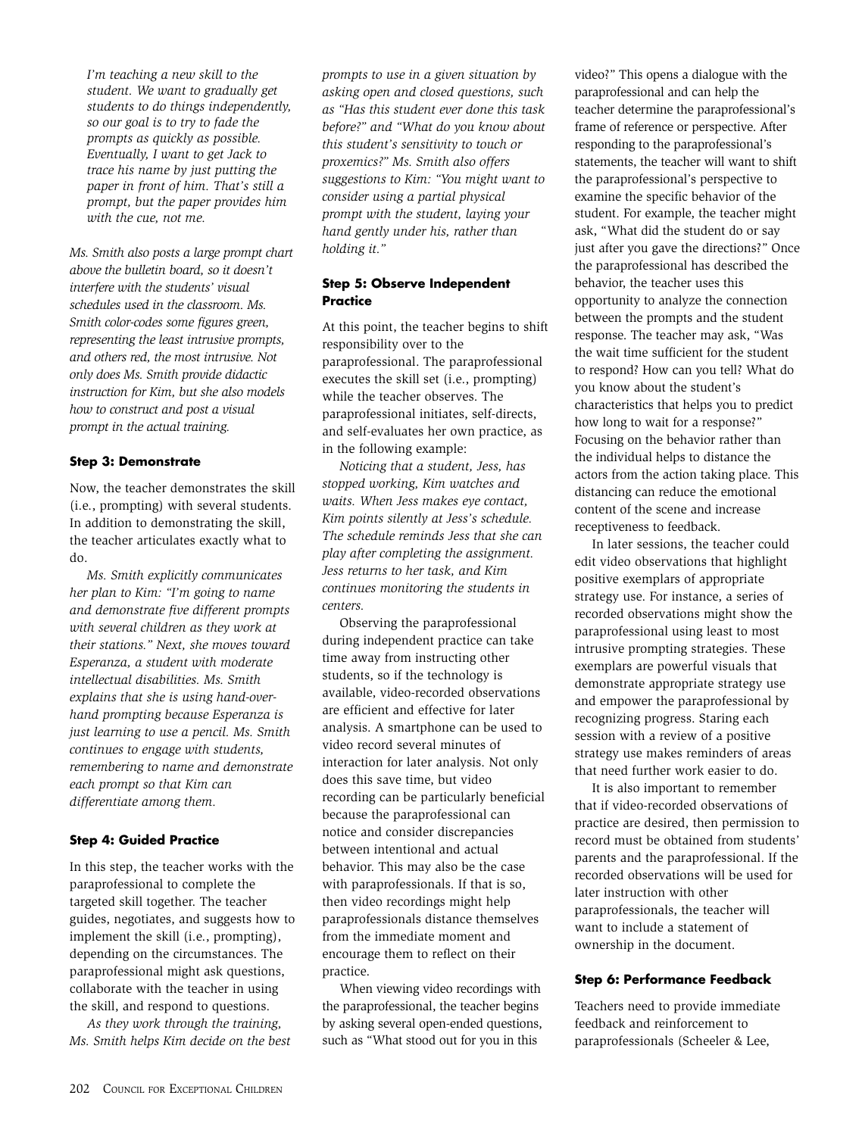*I'm teaching a new skill to the student. We want to gradually get students to do things independently, so our goal is to try to fade the prompts as quickly as possible. Eventually, I want to get Jack to trace his name by just putting the paper in front of him. That's still a prompt, but the paper provides him with the cue, not me.*

*Ms. Smith also posts a large prompt chart above the bulletin board, so it doesn't interfere with the students' visual schedules used in the classroom. Ms. Smith color-codes some figures green, representing the least intrusive prompts, and others red, the most intrusive. Not only does Ms. Smith provide didactic instruction for Kim, but she also models how to construct and post a visual prompt in the actual training.*

## **Step 3: Demonstrate**

Now, the teacher demonstrates the skill (i.e., prompting) with several students. In addition to demonstrating the skill, the teacher articulates exactly what to do.

*Ms. Smith explicitly communicates her plan to Kim: "I'm going to name and demonstrate five different prompts with several children as they work at their stations." Next, she moves toward Esperanza, a student with moderate intellectual disabilities. Ms. Smith explains that she is using hand-overhand prompting because Esperanza is just learning to use a pencil. Ms. Smith continues to engage with students, remembering to name and demonstrate each prompt so that Kim can differentiate among them.*

# **Step 4: Guided Practice**

In this step, the teacher works with the paraprofessional to complete the targeted skill together. The teacher guides, negotiates, and suggests how to implement the skill (i.e., prompting), depending on the circumstances. The paraprofessional might ask questions, collaborate with the teacher in using the skill, and respond to questions.

*As they work through the training, Ms. Smith helps Kim decide on the best*  *prompts to use in a given situation by asking open and closed questions, such as "Has this student ever done this task before?" and "What do you know about this student's sensitivity to touch or proxemics?" Ms. Smith also offers suggestions to Kim: "You might want to consider using a partial physical prompt with the student, laying your hand gently under his, rather than holding it."*

# **Step 5: Observe Independent Practice**

At this point, the teacher begins to shift responsibility over to the paraprofessional. The paraprofessional executes the skill set (i.e., prompting) while the teacher observes. The paraprofessional initiates, self-directs, and self-evaluates her own practice, as in the following example:

*Noticing that a student, Jess, has stopped working, Kim watches and waits. When Jess makes eye contact, Kim points silently at Jess's schedule. The schedule reminds Jess that she can play after completing the assignment. Jess returns to her task, and Kim continues monitoring the students in centers.*

Observing the paraprofessional during independent practice can take time away from instructing other students, so if the technology is available, video-recorded observations are efficient and effective for later analysis. A smartphone can be used to video record several minutes of interaction for later analysis. Not only does this save time, but video recording can be particularly beneficial because the paraprofessional can notice and consider discrepancies between intentional and actual behavior. This may also be the case with paraprofessionals. If that is so, then video recordings might help paraprofessionals distance themselves from the immediate moment and encourage them to reflect on their practice.

When viewing video recordings with the paraprofessional, the teacher begins by asking several open-ended questions, such as "What stood out for you in this

video?" This opens a dialogue with the paraprofessional and can help the teacher determine the paraprofessional's frame of reference or perspective. After responding to the paraprofessional's statements, the teacher will want to shift the paraprofessional's perspective to examine the specific behavior of the student. For example, the teacher might ask, "What did the student do or say just after you gave the directions?" Once the paraprofessional has described the behavior, the teacher uses this opportunity to analyze the connection between the prompts and the student response. The teacher may ask, "Was the wait time sufficient for the student to respond? How can you tell? What do you know about the student's characteristics that helps you to predict how long to wait for a response?" Focusing on the behavior rather than the individual helps to distance the actors from the action taking place. This distancing can reduce the emotional content of the scene and increase receptiveness to feedback.

In later sessions, the teacher could edit video observations that highlight positive exemplars of appropriate strategy use. For instance, a series of recorded observations might show the paraprofessional using least to most intrusive prompting strategies. These exemplars are powerful visuals that demonstrate appropriate strategy use and empower the paraprofessional by recognizing progress. Staring each session with a review of a positive strategy use makes reminders of areas that need further work easier to do.

It is also important to remember that if video-recorded observations of practice are desired, then permission to record must be obtained from students' parents and the paraprofessional. If the recorded observations will be used for later instruction with other paraprofessionals, the teacher will want to include a statement of ownership in the document.

# **Step 6: Performance Feedback**

Teachers need to provide immediate feedback and reinforcement to paraprofessionals (Scheeler & Lee,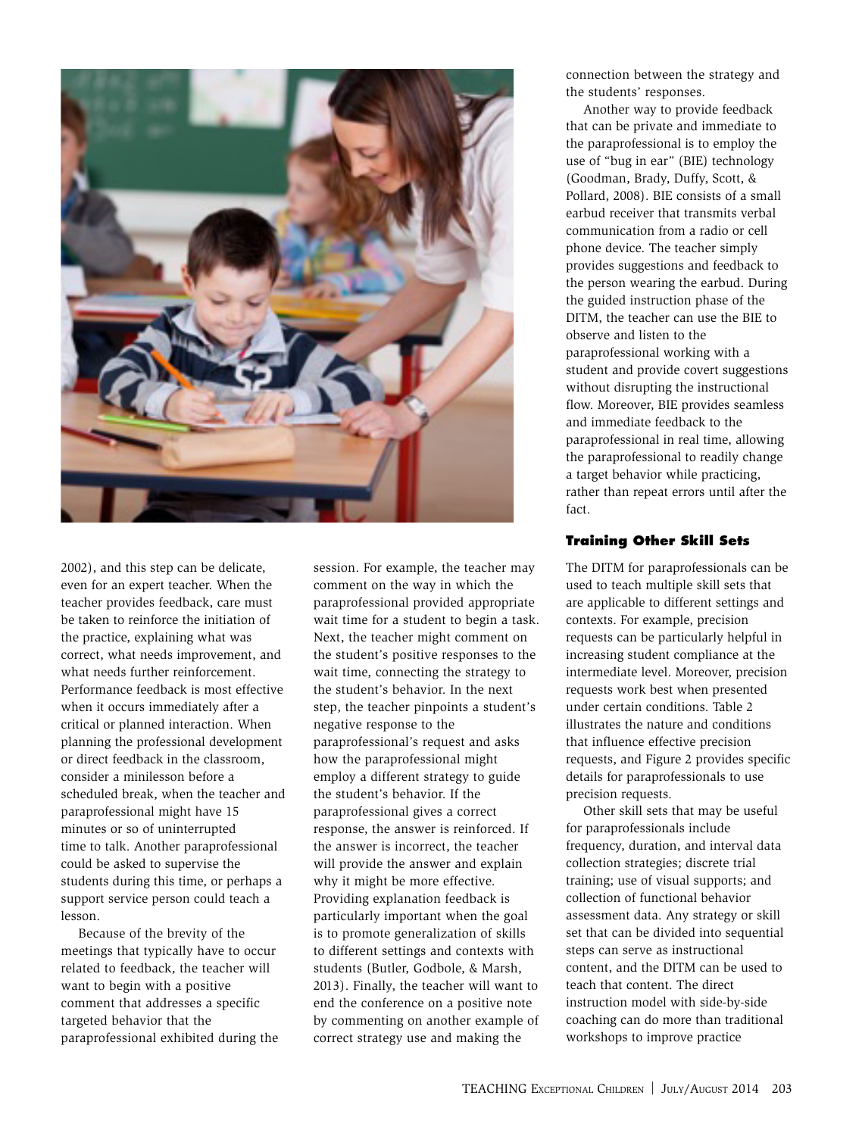

2002), and this step can be delicate, even for an expert teacher. When the teacher provides feedback, care must be taken to reinforce the initiation of the practice, explaining what was correct, what needs improvement, and what needs further reinforcement. Performance feedback is most effective when it occurs immediately after a critical or planned interaction. When planning the professional development or direct feedback in the classroom, consider a minilesson before a scheduled break, when the teacher and paraprofessional might have 15 minutes or so of uninterrupted time to talk. Another paraprofessional could be asked to supervise the students during this time, or perhaps a support service person could teach a lesson.

Because of the brevity of the meetings that typically have to occur related to feedback, the teacher will want to begin with a positive comment that addresses a specific targeted behavior that the paraprofessional exhibited during the

session. For example, the teacher may comment on the way in which the paraprofessional provided appropriate wait time for a student to begin a task. Next, the teacher might comment on the student's positive responses to the wait time, connecting the strategy to the student's behavior. In the next step, the teacher pinpoints a student's negative response to the paraprofessional's request and asks how the paraprofessional might employ a different strategy to guide the student's behavior. If the paraprofessional gives a correct response, the answer is reinforced. If the answer is incorrect, the teacher will provide the answer and explain why it might be more effective. Providing explanation feedback is particularly important when the goal is to promote generalization of skills to different settings and contexts with students (Butler, Godbole, & Marsh, 2013). Finally, the teacher will want to end the conference on a positive note by commenting on another example of correct strategy use and making the

connection between the strategy and the students' responses.

Another way to provide feedback that can be private and immediate to the paraprofessional is to employ the use of "bug in ear" (BIE) technology (Goodman, Brady, Duffy, Scott, & Pollard, 2008). BIE consists of a small earbud receiver that transmits verbal communication from a radio or cell phone device. The teacher simply provides suggestions and feedback to the person wearing the earbud. During the guided instruction phase of the DITM, the teacher can use the BIE to observe and listen to the paraprofessional working with a student and provide covert suggestions without disrupting the instructional flow. Moreover, BIE provides seamless and immediate feedback to the paraprofessional in real time, allowing the paraprofessional to readily change a target behavior while practicing, rather than repeat errors until after the fact.

## **Training Other Skill Sets**

The DITM for paraprofessionals can be used to teach multiple skill sets that are applicable to different settings and contexts. For example, precision requests can be particularly helpful in increasing student compliance at the intermediate level. Moreover, precision requests work best when presented under certain conditions. Table 2 illustrates the nature and conditions that influence effective precision requests, and Figure 2 provides specific details for paraprofessionals to use precision requests.

Other skill sets that may be useful for paraprofessionals include frequency, duration, and interval data collection strategies; discrete trial training; use of visual supports; and collection of functional behavior assessment data. Any strategy or skill set that can be divided into sequential steps can serve as instructional content, and the DITM can be used to teach that content. The direct instruction model with side-by-side coaching can do more than traditional workshops to improve practice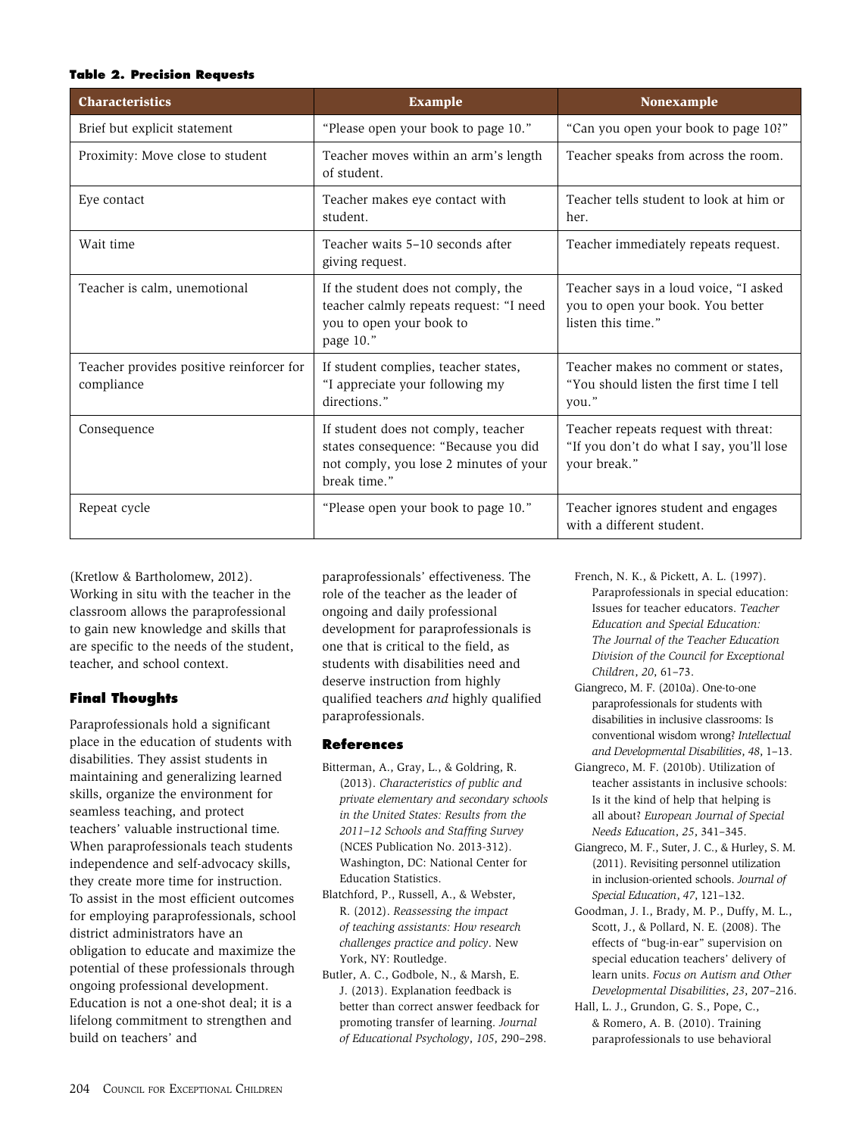### **Table 2. Precision Requests**

| <b>Characteristics</b>                                 | <b>Example</b>                                                                                                                        | <b>Nonexample</b>                                                                                 |  |
|--------------------------------------------------------|---------------------------------------------------------------------------------------------------------------------------------------|---------------------------------------------------------------------------------------------------|--|
| Brief but explicit statement                           | "Please open your book to page 10."                                                                                                   | "Can you open your book to page 10?"                                                              |  |
| Proximity: Move close to student                       | Teacher moves within an arm's length<br>of student.                                                                                   | Teacher speaks from across the room.                                                              |  |
| Eye contact                                            | Teacher makes eye contact with<br>student.                                                                                            | Teacher tells student to look at him or<br>her.                                                   |  |
| Wait time                                              | Teacher waits 5-10 seconds after<br>giving request.                                                                                   | Teacher immediately repeats request.                                                              |  |
| Teacher is calm, unemotional                           | If the student does not comply, the<br>teacher calmly repeats request: "I need<br>you to open your book to<br>page 10."               | Teacher says in a loud voice, "I asked<br>you to open your book. You better<br>listen this time." |  |
| Teacher provides positive reinforcer for<br>compliance | If student complies, teacher states,<br>"I appreciate your following my<br>directions."                                               | Teacher makes no comment or states,<br>"You should listen the first time I tell<br>you."          |  |
| Consequence                                            | If student does not comply, teacher<br>states consequence: "Because you did<br>not comply, you lose 2 minutes of your<br>break time." | Teacher repeats request with threat:<br>"If you don't do what I say, you'll lose<br>your break."  |  |
| Repeat cycle                                           | "Please open your book to page 10."                                                                                                   | Teacher ignores student and engages<br>with a different student.                                  |  |

(Kretlow & Bartholomew, 2012). Working in situ with the teacher in the classroom allows the paraprofessional to gain new knowledge and skills that are specific to the needs of the student, teacher, and school context.

# **Final Thoughts**

Paraprofessionals hold a significant place in the education of students with disabilities. They assist students in maintaining and generalizing learned skills, organize the environment for seamless teaching, and protect teachers' valuable instructional time. When paraprofessionals teach students independence and self-advocacy skills, they create more time for instruction. To assist in the most efficient outcomes for employing paraprofessionals, school district administrators have an obligation to educate and maximize the potential of these professionals through ongoing professional development. Education is not a one-shot deal; it is a lifelong commitment to strengthen and build on teachers' and

paraprofessionals' effectiveness. The role of the teacher as the leader of ongoing and daily professional development for paraprofessionals is one that is critical to the field, as students with disabilities need and deserve instruction from highly qualified teachers *and* highly qualified paraprofessionals.

# **References**

- Bitterman, A., Gray, L., & Goldring, R. (2013). *Characteristics of public and private elementary and secondary schools in the United States: Results from the 2011–12 Schools and Staffing Survey* (NCES Publication No. 2013-312). Washington, DC: National Center for Education Statistics.
- Blatchford, P., Russell, A., & Webster, R. (2012). *Reassessing the impact of teaching assistants: How research challenges practice and policy*. New York, NY: Routledge.
- Butler, A. C., Godbole, N., & Marsh, E. J. (2013). Explanation feedback is better than correct answer feedback for promoting transfer of learning. *Journal of Educational Psychology*, *105*, 290–298.
- French, N. K., & Pickett, A. L. (1997). Paraprofessionals in special education: Issues for teacher educators. *Teacher Education and Special Education: The Journal of the Teacher Education Division of the Council for Exceptional Children*, *20*, 61–73.
- Giangreco, M. F. (2010a). One-to-one paraprofessionals for students with disabilities in inclusive classrooms: Is conventional wisdom wrong? *Intellectual and Developmental Disabilities*, *48*, 1–13.
- Giangreco, M. F. (2010b). Utilization of teacher assistants in inclusive schools: Is it the kind of help that helping is all about? *European Journal of Special Needs Education*, *25*, 341–345.
- Giangreco, M. F., Suter, J. C., & Hurley, S. M. (2011). Revisiting personnel utilization in inclusion-oriented schools. *Journal of Special Education*, *47*, 121–132.
- Goodman, J. I., Brady, M. P., Duffy, M. L., Scott, J., & Pollard, N. E. (2008). The effects of "bug-in-ear" supervision on special education teachers' delivery of learn units. *Focus on Autism and Other Developmental Disabilities*, *23*, 207–216.
- Hall, L. J., Grundon, G. S., Pope, C., & Romero, A. B. (2010). Training paraprofessionals to use behavioral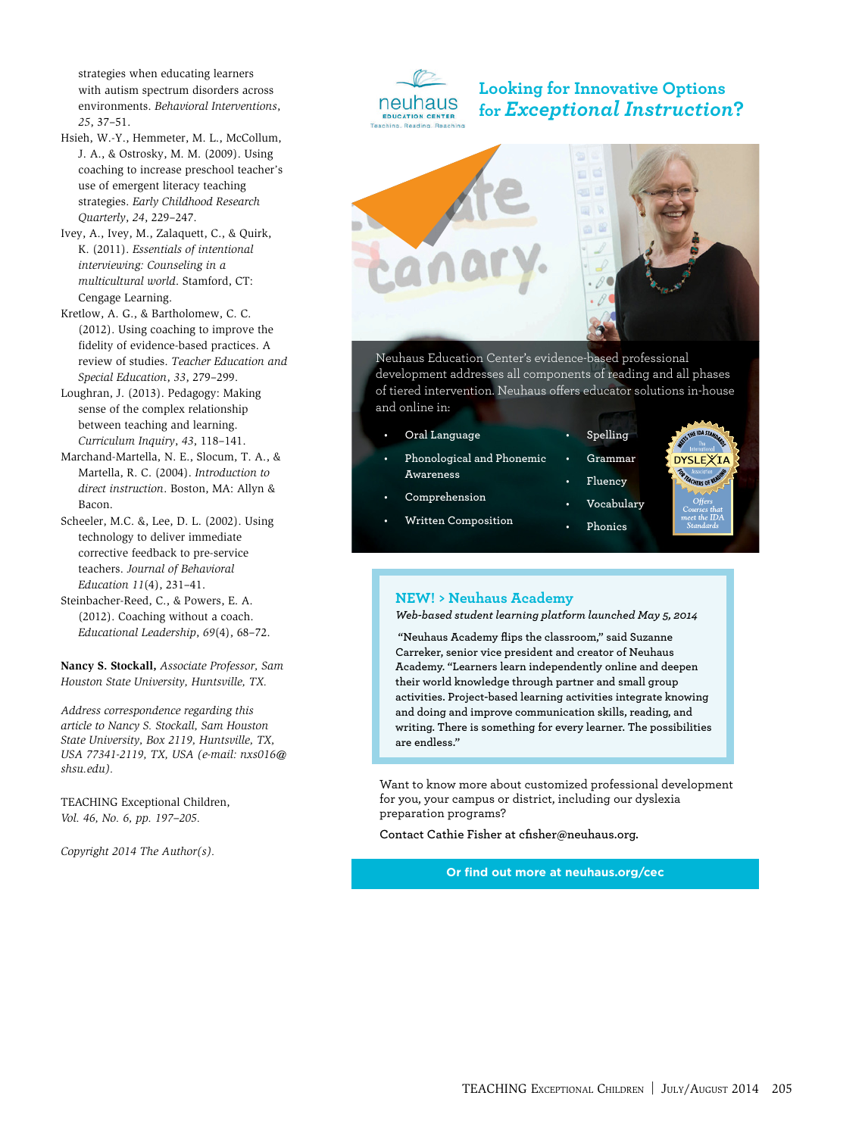strategies when educating learners with autism spectrum disorders across environments. *Behavioral Interventions*, *25*, 37–51.

- Hsieh, W.-Y., Hemmeter, M. L., McCollum, J. A., & Ostrosky, M. M. (2009). Using coaching to increase preschool teacher's use of emergent literacy teaching strategies. *Early Childhood Research Quarterly*, *24*, 229–247.
- Ivey, A., Ivey, M., Zalaquett, C., & Quirk, K. (2011). *Essentials of intentional interviewing: Counseling in a multicultural world*. Stamford, CT: Cengage Learning.
- Kretlow, A. G., & Bartholomew, C. C. (2012). Using coaching to improve the fidelity of evidence-based practices. A review of studies. *Teacher Education and Special Education*, *33*, 279–299.
- Loughran, J. (2013). Pedagogy: Making sense of the complex relationship between teaching and learning. *Curriculum Inquiry*, *43*, 118–141.
- Marchand-Martella, N. E., Slocum, T. A., & Martella, R. C. (2004). *Introduction to direct instruction*. Boston, MA: Allyn & Bacon.
- Scheeler, M.C. &, Lee, D. L. (2002). Using technology to deliver immediate corrective feedback to pre-service teachers. *Journal of Behavioral Education 11*(4), 231–41.
- Steinbacher-Reed, C., & Powers, E. A. (2012). Coaching without a coach. *Educational Leadership*, *69*(4), 68–72.

**Nancy S. Stockall,** *Associate Professor, Sam Houston State University, Huntsville, TX.*

*Address correspondence regarding this article to Nancy S. Stockall, Sam Houston State University, Box 2119, Huntsville, TX, USA 77341-2119, TX, USA (e-mail: nxs016@ shsu.edu).*

TEACHING Exceptional Children, *Vol. 46, No. 6, pp. 197–205.*

*Copyright 2014 The Author(s).*

#### **Looking for Innovative Options**  neuhaus **for** *Exceptional Instruction***? EDUCATION CENTER**



Neuhaus Education Center's evidence-based professional development addresses all components of reading and all phases of tiered intervention. Neuhaus offers educator solutions in-house and online in:

**• Oral Language**

**Awareness**

- **Phonological and Phonemic** 
	- **Grammar**
		- **Fluency • Vocabulary**

**• Spelling**

- **Phonics**
- **DYSLEXIA**

**• Comprehension • Written Composition** 

# **NEW! > Neuhaus Academy**

*Web-based student learning platform launched May 5, 2014*

 **"Neuhaus Academy flips the classroom," said Suzanne Carreker, senior vice president and creator of Neuhaus Academy. "Learners learn independently online and deepen their world knowledge through partner and small group activities. Project-based learning activities integrate knowing and doing and improve communication skills, reading, and writing. There is something for every learner. The possibilities are endless."**

Want to know more about customized professional development for you, your campus or district, including our dyslexia preparation programs?

**Contact Cathie Fisher at cfisher@neuhaus.org.**

**Or find out more at neuhaus.org/cec**